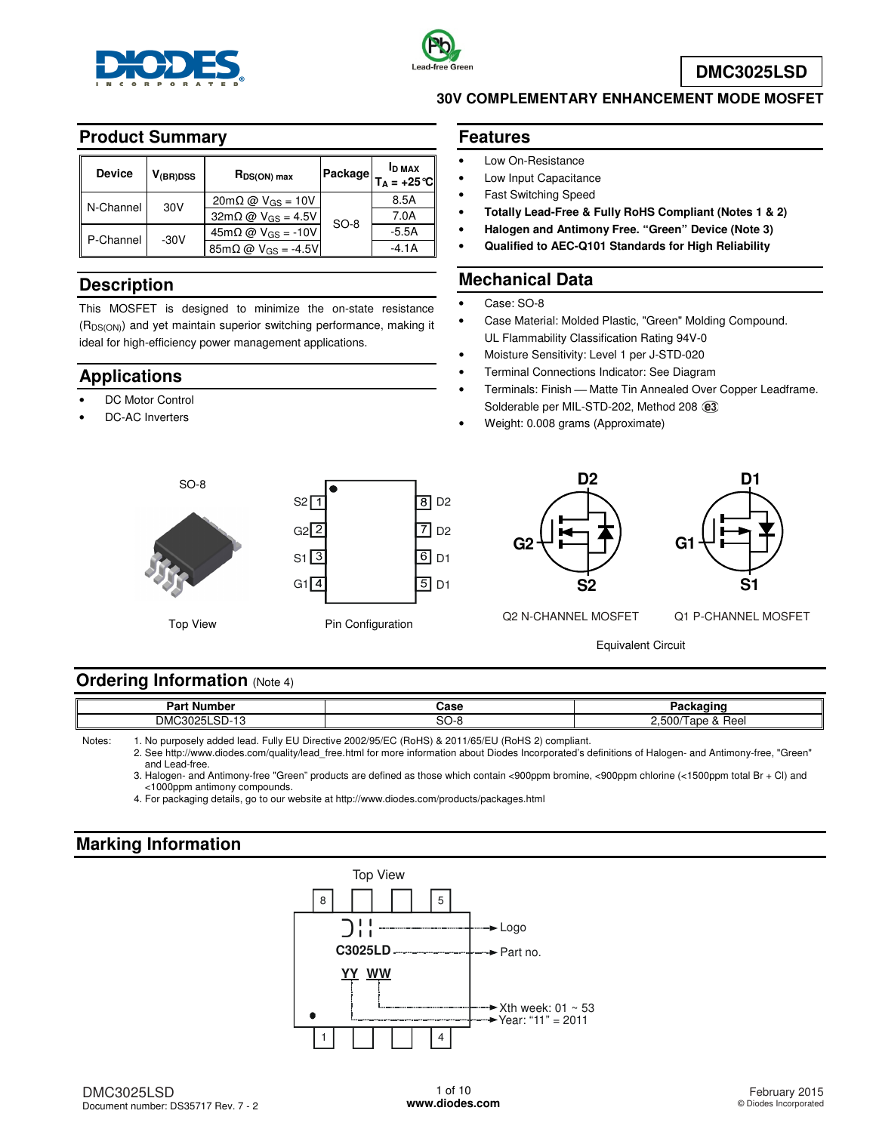



**DMC3025LSD**

#### **Product Summary**

| <b>Device</b> | V <sub>(BR)DSS</sub> | $R_{DS(ON) max}$                                 | Package | <b>ID MAX</b><br>$T_A = +25^{\circ}C$ |
|---------------|----------------------|--------------------------------------------------|---------|---------------------------------------|
| N-Channel     | 30V                  | $20 \text{m}\Omega \omega$ V <sub>GS</sub> = 10V |         | 8.5A                                  |
|               |                      | $32m\Omega \omega$ V <sub>GS</sub> = 4.5V        | $SO-8$  | 7.0A                                  |
| P-Channel     | $-30V$               | $45m\Omega$ @ $V$ <sub>GS</sub> = -10V           |         | $-5.5A$                               |
|               |                      | $85m\Omega$ @ V <sub>GS</sub> = -4.5V            |         | $-4.1A$                               |

### **Description**

This MOSFET is designed to minimize the on-state resistance (R<sub>DS(ON)</sub>) and yet maintain superior switching performance, making it ideal for high-efficiency power management applications.

### **Applications**

- DC Motor Control
- DC-AC Inverters

#### **Features**

- Low On-Resistance
- Low Input Capacitance
- Fast Switching Speed
- **Totally Lead-Free & Fully RoHS Compliant (Notes 1 & 2)**

**30V COMPLEMENTARY ENHANCEMENT MODE MOSFET** 

- **Halogen and Antimony Free. "Green" Device (Note 3)**
- **Qualified to AEC-Q101 Standards for High Reliability**

### **Mechanical Data**

- Case: SO-8
- Case Material: Molded Plastic, "Green" Molding Compound. UL Flammability Classification Rating 94V-0
- Moisture Sensitivity: Level 1 per J-STD-020
- Terminal Connections Indicator: See Diagram
- Terminals: Finish Matte Tin Annealed Over Copper Leadframe. Solderable per MIL-STD-202, Method 208  $(3)$
- Weight: 0.008 grams (Approximate)





**D2 S2 G2**



Q2 N-CHANNEL MOSFET Q1 P-CHANNEL MOSFET

Equivalent Circuit

#### **Ordering Information (Note 4)**

| . .<br>Parl<br>mber<br>Nur               | ה הר<br>Jase |                                                                      |
|------------------------------------------|--------------|----------------------------------------------------------------------|
| $\sim$ $\sim$<br><b>DMC</b><br>יו ה<br>. | ື            | r o o<br>- 33<br>Reel<br>au<br>$\mathbf{u}$<br>. . <b>.</b> .<br>. . |

Notes: 1. No purposely added lead. Fully EU Directive 2002/95/EC (RoHS) & 2011/65/EU (RoHS 2) compliant.

 2. See [http://www.diodes.com/quality/lead\\_free.html fo](http://www.diodes.com/quality/lead_free.html)r more information about Diodes Incorporated's definitions of Halogen- and Antimony-free, "Green" and Lead-free.

 3. Halogen- and Antimony-free "Green" products are defined as those which contain <900ppm bromine, <900ppm chlorine (<1500ppm total Br + Cl) and <1000ppm antimony compounds.

4. For packaging details, go to our website at <http://www.diodes.com/products/packages.html>

# **Marking Information**

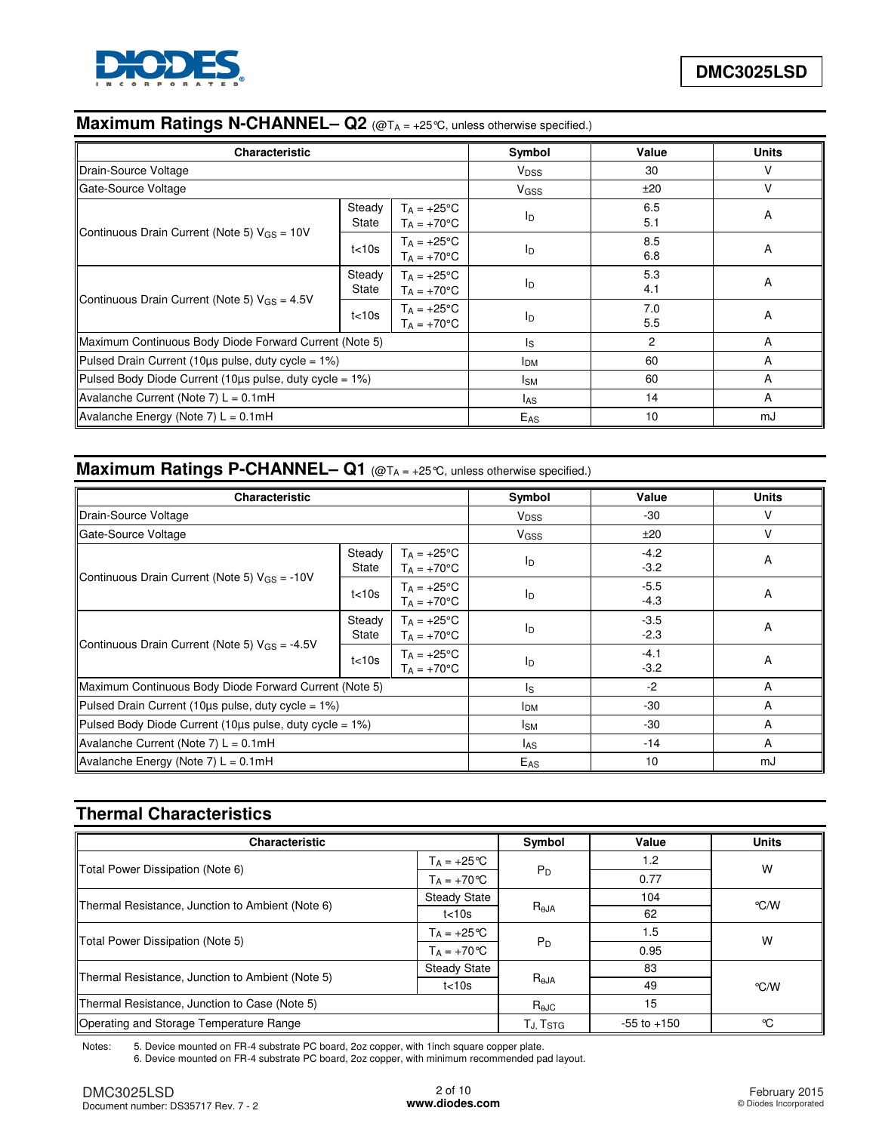

# **Maximum Ratings N-CHANNEL– Q2** (@TA = +25 ℃, unless otherwise specified.)

| <b>Characteristic</b>                                   |                 |                                              | Symbol                 | Value      | <b>Units</b> |
|---------------------------------------------------------|-----------------|----------------------------------------------|------------------------|------------|--------------|
| Drain-Source Voltage                                    |                 |                                              | <b>V<sub>DSS</sub></b> | 30         | v            |
| Gate-Source Voltage                                     |                 |                                              | <b>V<sub>GSS</sub></b> | ±20        | v            |
|                                                         | Steady<br>State | $T_A = +25^{\circ}C$<br>$T_A = +70$ °C       | $I_{\text{D}}$         | 6.5<br>5.1 | A            |
| Continuous Drain Current (Note 5) $V_{GS} = 10V$        | t<10s           | $T_A = +25^{\circ}C$<br>$T_A = +70^{\circ}C$ | $I_{\text{D}}$         | 8.5<br>6.8 | A            |
|                                                         | Steady<br>State | $T_A = +25^{\circ}C$<br>$T_A = +70$ °C       | I <sub>D</sub>         | 5.3<br>4.1 | A            |
| Continuous Drain Current (Note 5) $V_{GS} = 4.5V$       | t<10s           | $T_A = +25^{\circ}C$<br>$Ta = +70°C$         | <b>l</b> <sub>D</sub>  | 7.0<br>5.5 | A            |
| Maximum Continuous Body Diode Forward Current (Note 5)  |                 |                                              | ls.                    | 2          | A            |
| Pulsed Drain Current (10us pulse, duty cycle = 1%)      |                 |                                              | <b>IDM</b>             | 60         | A            |
| Pulsed Body Diode Current (10us pulse, duty cycle = 1%) |                 |                                              | Isм                    | 60         | A            |
| Avalanche Current (Note 7) L = 0.1mH                    |                 |                                              | las                    | 14         | A            |
| Avalanche Energy (Note 7) $L = 0.1$ mH                  |                 |                                              | $E_{AS}$               | 10         | mJ           |

# **Maximum Ratings P-CHANNEL– Q1** (@TA = +25℃, unless otherwise specified.)

| <b>Characteristic</b>                                    | Symbol          | Value                                        | <b>Units</b>              |                  |    |
|----------------------------------------------------------|-----------------|----------------------------------------------|---------------------------|------------------|----|
| Drain-Source Voltage                                     |                 |                                              | <b>V<sub>DSS</sub></b>    | -30              | v  |
| Gate-Source Voltage                                      |                 |                                              | <b>V<sub>GSS</sub></b>    | ±20              |    |
|                                                          | Steady<br>State | $T_A = +25^{\circ}C$<br>$T_A = +70^{\circ}C$ | ID                        | $-4.2$<br>$-3.2$ | A  |
| Continuous Drain Current (Note 5) $V_{GS} = -10V$        | t<10s           | $T_A = +25^{\circ}C$<br>$T_A = +70$ °C       | l <sub>D</sub>            | $-5.5$<br>$-4.3$ | A  |
|                                                          | Steady<br>State | $T_A = +25^{\circ}C$<br>$T_A = +70^{\circ}C$ | $\mathsf{I}_{\mathsf{D}}$ | $-3.5$<br>$-2.3$ | A  |
| Continuous Drain Current (Note 5) $V_{GS} = -4.5V$       | t<10s           | $T_A = +25^{\circ}C$<br>$T_A = +70$ °C       | ID                        | $-4.1$<br>$-3.2$ | A  |
| Maximum Continuous Body Diode Forward Current (Note 5)   |                 |                                              | ls.                       | $-2$             | A  |
| Pulsed Drain Current (10 $\mu$ s pulse, duty cycle = 1%) |                 |                                              | I <sub>DM</sub>           | -30              | A  |
| Pulsed Body Diode Current (10us pulse, duty cycle = 1%)  |                 |                                              | l <sub>SM</sub>           | $-30$            | A  |
| Avalanche Current (Note 7) $L = 0.1$ mH                  |                 |                                              | las                       | $-14$            | A  |
| Avalanche Energy (Note 7) $L = 0.1$ mH                   |                 |                                              | E <sub>AS</sub>           | 10               | mJ |

# **Thermal Characteristics**

| <b>Characteristic</b>                            | Symbol               | Value              | <b>Units</b> |      |
|--------------------------------------------------|----------------------|--------------------|--------------|------|
| Total Power Dissipation (Note 6)                 | $T_A = +25^{\circ}C$ | $P_D$              | 1.2          | W    |
|                                                  | $T_A = +70 °C$       |                    | 0.77         |      |
| Thermal Resistance, Junction to Ambient (Note 6) | <b>Steady State</b>  |                    | 104          | °C/W |
|                                                  | t<10s                | $R_{\theta$ JA     | 62           |      |
|                                                  | $T_A = +25^{\circ}C$ |                    | 1.5          | W    |
| Total Power Dissipation (Note 5)                 | $T_A = +70 °C$       | $P_D$              | 0.95         |      |
|                                                  | <b>Steady State</b>  |                    | 83           |      |
| Thermal Resistance, Junction to Ambient (Note 5) | t<10s                | $R_{\theta}$ JA    | 49           | °C/W |
| Thermal Resistance, Junction to Case (Note 5)    |                      | $R_{\theta}$ J $C$ | 15           |      |
| Operating and Storage Temperature Range          | TJ, Tstg             | $-55$ to $+150$    | °C           |      |

Notes: 5. Device mounted on FR-4 substrate PC board, 2oz copper, with 1inch square copper plate. 6. Device mounted on FR-4 substrate PC board, 2oz copper, with minimum recommended pad layout.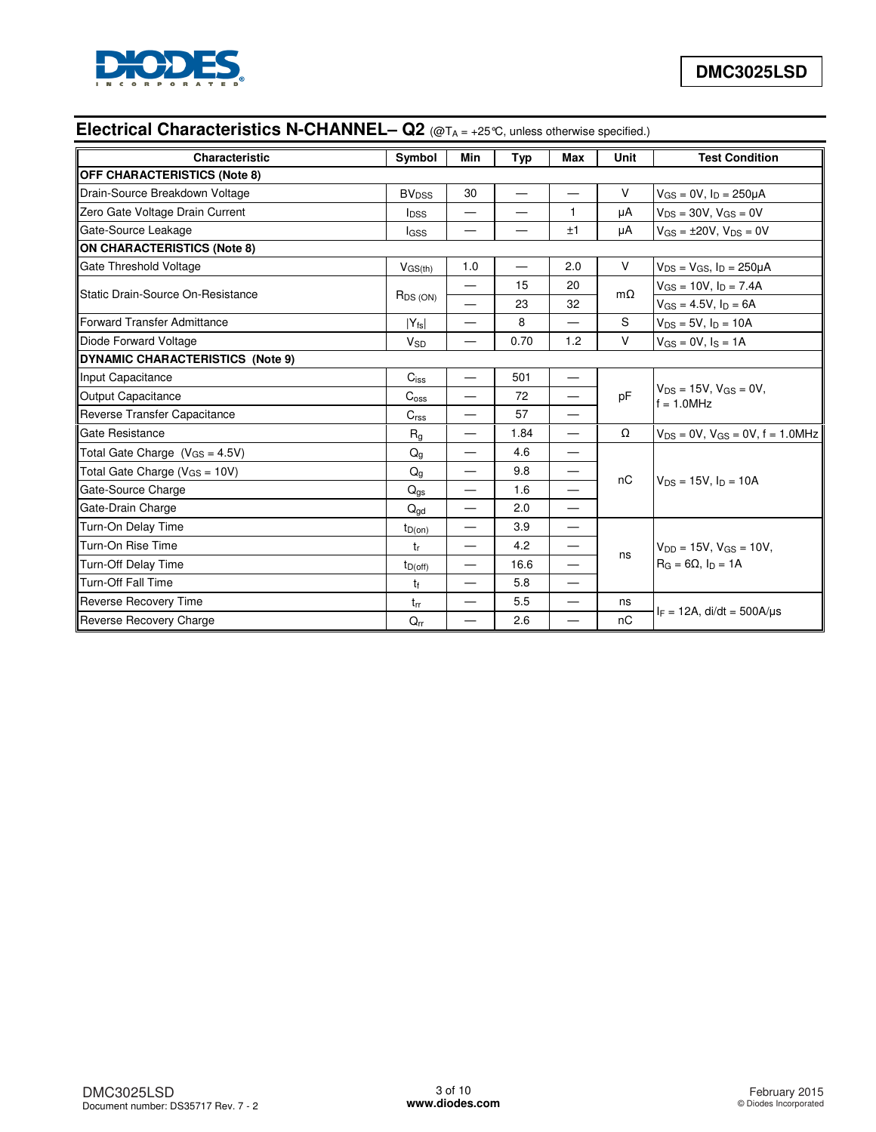

# **Electrical Characteristics N-CHANNEL– Q2** (@T<sub>A = +25</sub>°C, unless otherwise specified.)

| Characteristic                          | Symbol                  | <b>Min</b>               | Typ  | <b>Max</b>               | Unit      | <b>Test Condition</b>                                             |
|-----------------------------------------|-------------------------|--------------------------|------|--------------------------|-----------|-------------------------------------------------------------------|
| <b>OFF CHARACTERISTICS (Note 8)</b>     |                         |                          |      |                          |           |                                                                   |
| Drain-Source Breakdown Voltage          | <b>BV<sub>DSS</sub></b> | 30                       |      |                          | V         | $V_{GS} = 0V$ , $I_D = 250 \mu A$                                 |
| Zero Gate Voltage Drain Current         | <b>I</b> <sub>DSS</sub> | $\overline{\phantom{0}}$ |      | $\mathbf{1}$             | μA        | $V_{DS} = 30V$ , $V_{GS} = 0V$                                    |
| Gate-Source Leakage                     | lgss                    | $\overline{\phantom{0}}$ |      | ±1                       | μA        | $V_{GS} = \pm 20V$ , $V_{DS} = 0V$                                |
| <b>ON CHARACTERISTICS (Note 8)</b>      |                         |                          |      |                          |           |                                                                   |
| Gate Threshold Voltage                  | $V$ <sub>GS(th)</sub>   | 1.0                      |      | 2.0                      | $\vee$    | $V_{DS}$ = $V_{GS}$ , $I_D$ = 250µA                               |
| Static Drain-Source On-Resistance       |                         | —                        | 15   | 20                       | $m\Omega$ | $V_{GS} = 10V$ , $I_D = 7.4A$                                     |
|                                         | $R_{DS(ON)}$            |                          | 23   | 32                       |           | $V_{GS} = 4.5V$ , $I_D = 6A$                                      |
| <b>Forward Transfer Admittance</b>      | $ Y_{fs} $              | $\overline{\phantom{0}}$ | 8    | $\overline{\phantom{0}}$ | S         | $V_{DS} = 5V$ , $I_D = 10A$                                       |
| Diode Forward Voltage                   | $V_{SD}$                | $\overline{\phantom{0}}$ | 0.70 | 1.2                      | $\vee$    | $V_{GS} = 0V$ , $I_S = 1A$                                        |
| <b>DYNAMIC CHARACTERISTICS (Note 9)</b> |                         |                          |      |                          |           |                                                                   |
| Input Capacitance                       | $C_{iss}$               |                          | 501  | $\overline{\phantom{0}}$ |           | $V_{DS} = 15V$ , $V_{GS} = 0V$ ,<br>$f = 1.0$ MHz                 |
| Output Capacitance                      | C <sub>oss</sub>        | $\overline{\phantom{0}}$ | 72   | $\overline{\phantom{0}}$ | pF        |                                                                   |
| Reverse Transfer Capacitance            | C <sub>rss</sub>        | $\overline{\phantom{0}}$ | 57   | $\overline{\phantom{0}}$ |           |                                                                   |
| Gate Resistance                         | R <sub>g</sub>          | $\overline{\phantom{0}}$ | 1.84 | $\equiv$                 | Ω         | $V_{DS} = 0V$ , $V_{GS} = 0V$ , $f = 1.0 MHz$                     |
| Total Gate Charge $(V_{GS} = 4.5V)$     | $Q_q$                   | $\overline{\phantom{0}}$ | 4.6  | $\overline{\phantom{0}}$ |           |                                                                   |
| Total Gate Charge ( $V_{GS} = 10V$ )    | $Q_{q}$                 |                          | 9.8  | $\overline{\phantom{0}}$ | nC        |                                                                   |
| Gate-Source Charge                      | $Q_{gs}$                | $\overline{\phantom{0}}$ | 1.6  | —                        |           | $V_{DS} = 15V$ , $I_D = 10A$                                      |
| Gate-Drain Charge                       | $Q_{\text{qd}}$         |                          | 2.0  |                          |           |                                                                   |
| Turn-On Delay Time                      | $t_{D(on)}$             | —                        | 3.9  | $\overline{\phantom{0}}$ |           |                                                                   |
| Turn-On Rise Time                       | tr                      | $\overline{\phantom{0}}$ | 4.2  | $\overline{\phantom{0}}$ |           | $V_{DD} = 15V$ , $V_{GS} = 10V$ ,<br>$R_G = 6\Omega$ , $I_D = 1A$ |
| Turn-Off Delay Time                     | $t_{D(off)}$            |                          | 16.6 | $\overline{\phantom{0}}$ | ns        |                                                                   |
| <b>Turn-Off Fall Time</b>               | tŧ                      | $\overline{\phantom{0}}$ | 5.8  | $\overline{\phantom{0}}$ |           |                                                                   |
| Reverse Recovery Time                   | $t_{rr}$                | $\overline{\phantom{0}}$ | 5.5  | $\overline{\phantom{0}}$ | ns        |                                                                   |
| Reverse Recovery Charge                 | $Q_{rr}$                |                          | 2.6  |                          | nC        | $I_F = 12A$ , di/dt = 500A/us                                     |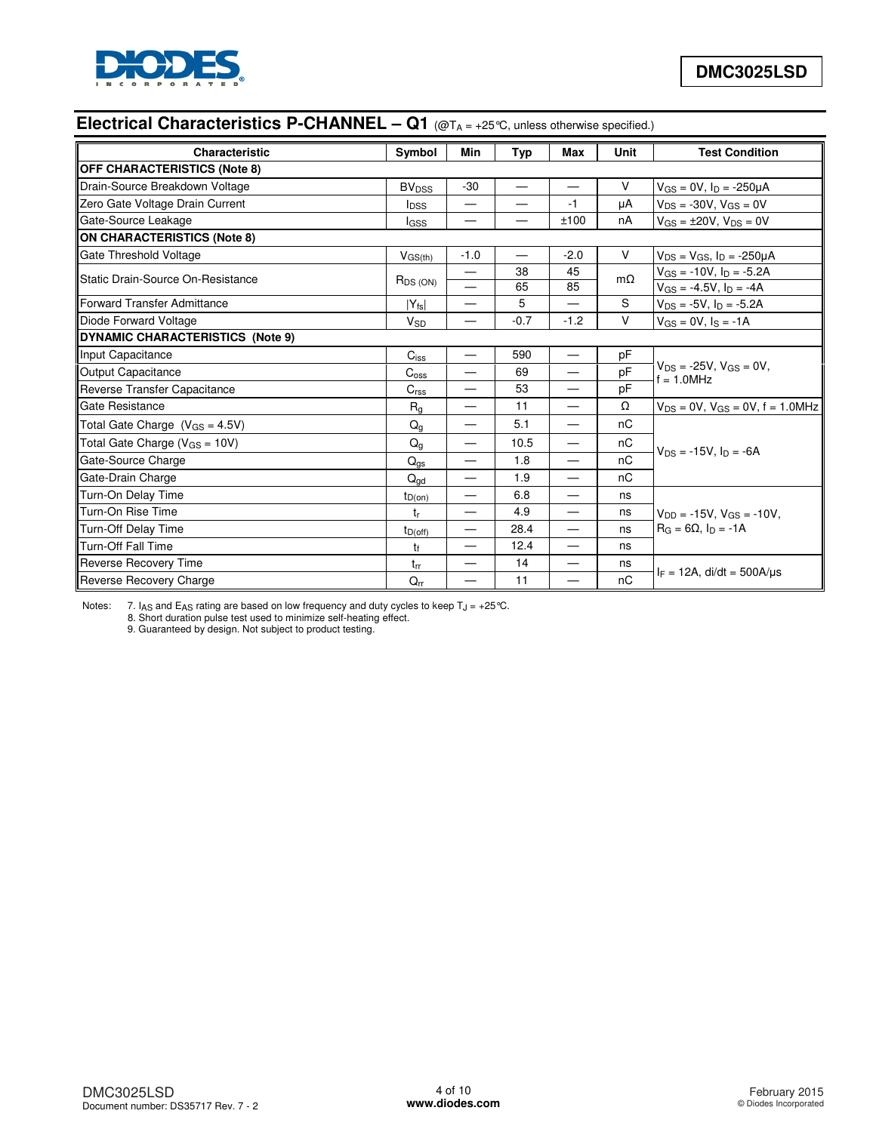

# **Electrical Characteristics P-CHANNEL – Q1** (@T<sub>A = +25</sub>°C, unless otherwise specified.)

| <b>Characteristic</b>                   | Symbol                  | Min                            | <b>Typ</b> | Max                      | Unit      | <b>Test Condition</b>                          |  |
|-----------------------------------------|-------------------------|--------------------------------|------------|--------------------------|-----------|------------------------------------------------|--|
| <b>OFF CHARACTERISTICS (Note 8)</b>     |                         |                                |            |                          |           |                                                |  |
| Drain-Source Breakdown Voltage          | <b>BV<sub>DSS</sub></b> | $-30$                          | $\equiv$   |                          | $\vee$    | $V_{GS} = 0V$ , $I_D = -250\mu A$              |  |
| Zero Gate Voltage Drain Current         | <b>I</b> <sub>DSS</sub> | $\qquad \qquad \longleftarrow$ |            | $-1$                     | μA        | $V_{DS} = -30V$ , $V_{GS} = 0V$                |  |
| Gate-Source Leakage                     | lgss                    | —                              | —          | ±100                     | nA        | $V_{GS} = \pm 20V$ , $V_{DS} = 0V$             |  |
| <b>ON CHARACTERISTICS (Note 8)</b>      |                         |                                |            |                          |           |                                                |  |
| Gate Threshold Voltage                  | $V_{GS(th)}$            | $-1.0$                         |            | $-2.0$                   | $\vee$    | $V_{DS} = V_{GS}$ , $I_D = -250 \mu A$         |  |
| Static Drain-Source On-Resistance       |                         | —                              | 38         | 45                       | $m\Omega$ | $V_{GS} = -10V$ , $I_D = -5.2A$                |  |
|                                         | $R_{DS(ON)}$            |                                | 65         | 85                       |           | $V_{GS} = -4.5V$ , $I_D = -4A$                 |  |
| <b>Forward Transfer Admittance</b>      | $ Y_{fs} $              | —                              | 5          |                          | S         | $V_{DS} = -5V$ , $I_D = -5.2A$                 |  |
| Diode Forward Voltage                   | $V_{SD}$                | $\overline{\phantom{0}}$       | $-0.7$     | $-1.2$                   | $\vee$    | $V_{GS} = 0V$ , $I_S = -1A$                    |  |
| <b>DYNAMIC CHARACTERISTICS (Note 9)</b> |                         |                                |            |                          |           |                                                |  |
| Input Capacitance                       | $C_{iss}$               | —                              | 590        |                          | pF        |                                                |  |
| <b>Output Capacitance</b>               | $C_{\rm oss}$           |                                | 69         |                          | pF        | $V_{DS}$ = -25V, $V_{GS}$ = 0V,<br>$= 1.0$ MHz |  |
| Reverse Transfer Capacitance            | C <sub>rss</sub>        |                                | 53         | $\overline{\phantom{0}}$ | pF        |                                                |  |
| Gate Resistance                         | $R_{q}$                 |                                | 11         | $\overline{\phantom{0}}$ | Ω         | $V_{DS} = 0V$ , $V_{GS} = 0V$ , $f = 1.0 MHz$  |  |
| Total Gate Charge $(V_{GS} = 4.5V)$     | $Q_g$                   | $\qquad \qquad \longleftarrow$ | 5.1        | $\qquad \qquad$          | nC        |                                                |  |
| Total Gate Charge ( $V_{GS} = 10V$ )    | $Q_{q}$                 | $\hspace{0.05cm}$              | 10.5       | $\overline{\phantom{0}}$ | nC        | $V_{DS} = -15V$ . In = -6A                     |  |
| Gate-Source Charge                      | $Q_{gs}$                | $\overline{\phantom{0}}$       | 1.8        | $\overline{\phantom{0}}$ | nC        |                                                |  |
| Gate-Drain Charge                       | $Q_{\text{dd}}$         | —                              | 1.9        |                          | nC        |                                                |  |
| Turn-On Delay Time                      | $t_{D(on)}$             |                                | 6.8        |                          | ns        |                                                |  |
| Turn-On Rise Time                       | tr                      | —                              | 4.9        | $\overline{\phantom{0}}$ | ns        | $V_{DD} = -15V$ , $V_{GS} = -10V$ ,            |  |
| <b>Turn-Off Delay Time</b>              | $t_{D(off)}$            | $\overline{\phantom{0}}$       | 28.4       | $\overline{\phantom{0}}$ | ns        | $R_G = 6\Omega$ . In = -1A                     |  |
| Turn-Off Fall Time                      | tŧ                      |                                | 12.4       | $\overline{\phantom{0}}$ | ns        |                                                |  |
| Reverse Recovery Time                   | trr                     | —                              | 14         |                          | ns        |                                                |  |
| Reverse Recovery Charge                 | $Q_{rr}$                | —                              | 11         | $\overline{\phantom{0}}$ | nC        | $I_F = 12A$ , di/dt = 500A/us                  |  |

Notes: 7. IAS and EAS rating are based on low frequency and duty cycles to keep T<sub>J</sub> = +25 °C.<br>8. Short duration pulse test used to minimize self-heating effect.

9. Guaranteed by design. Not subject to product testing.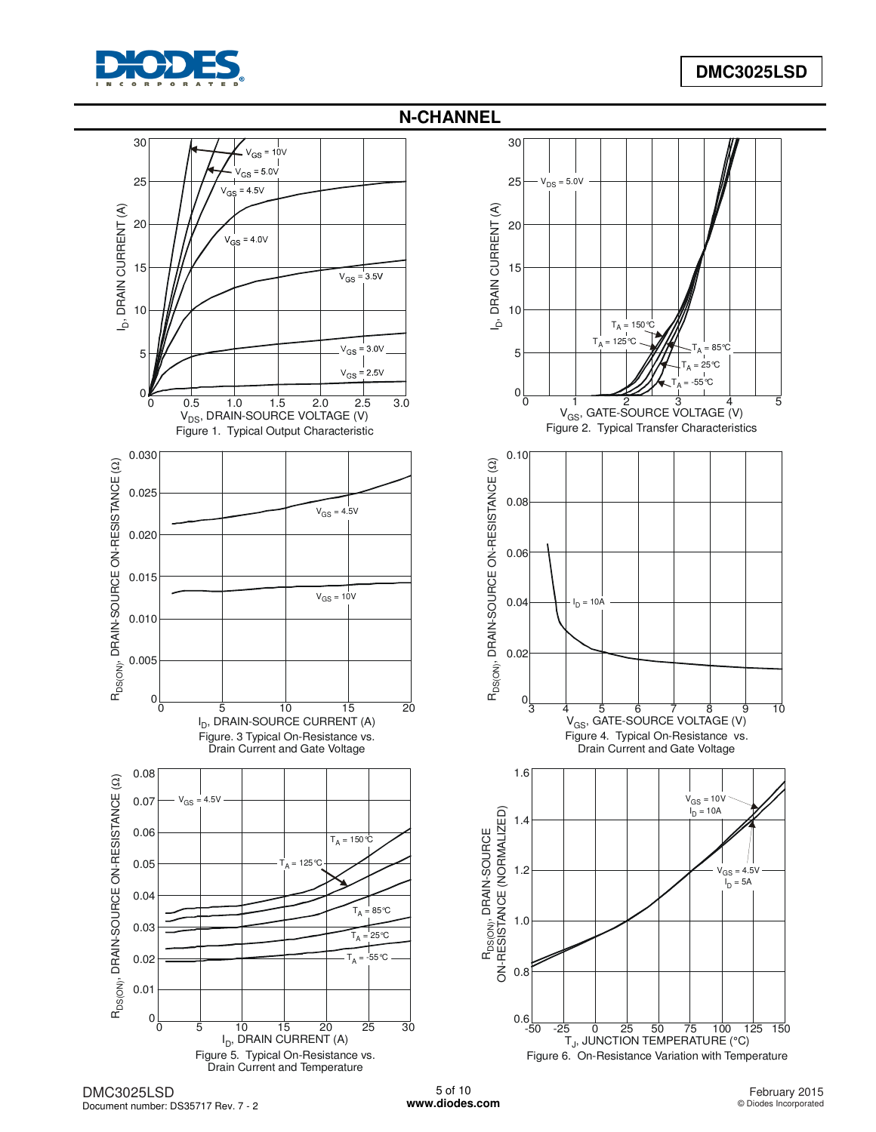



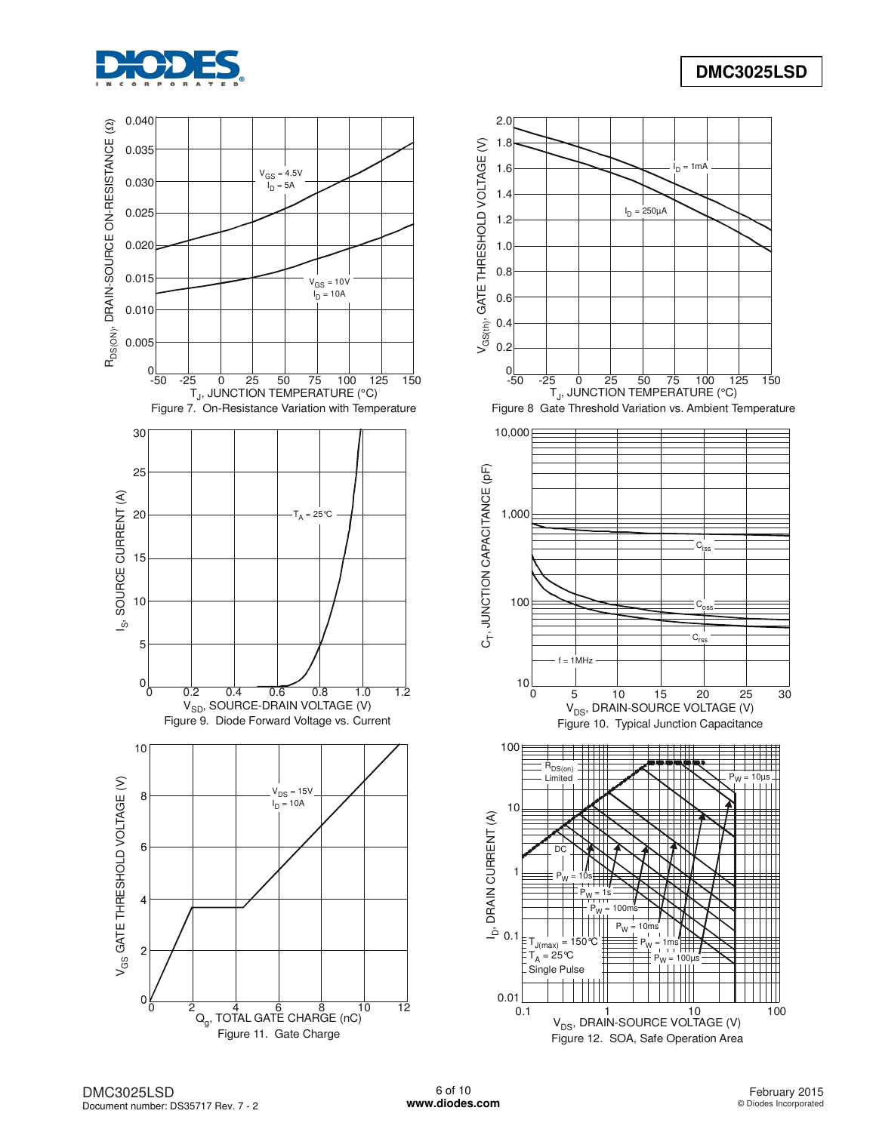



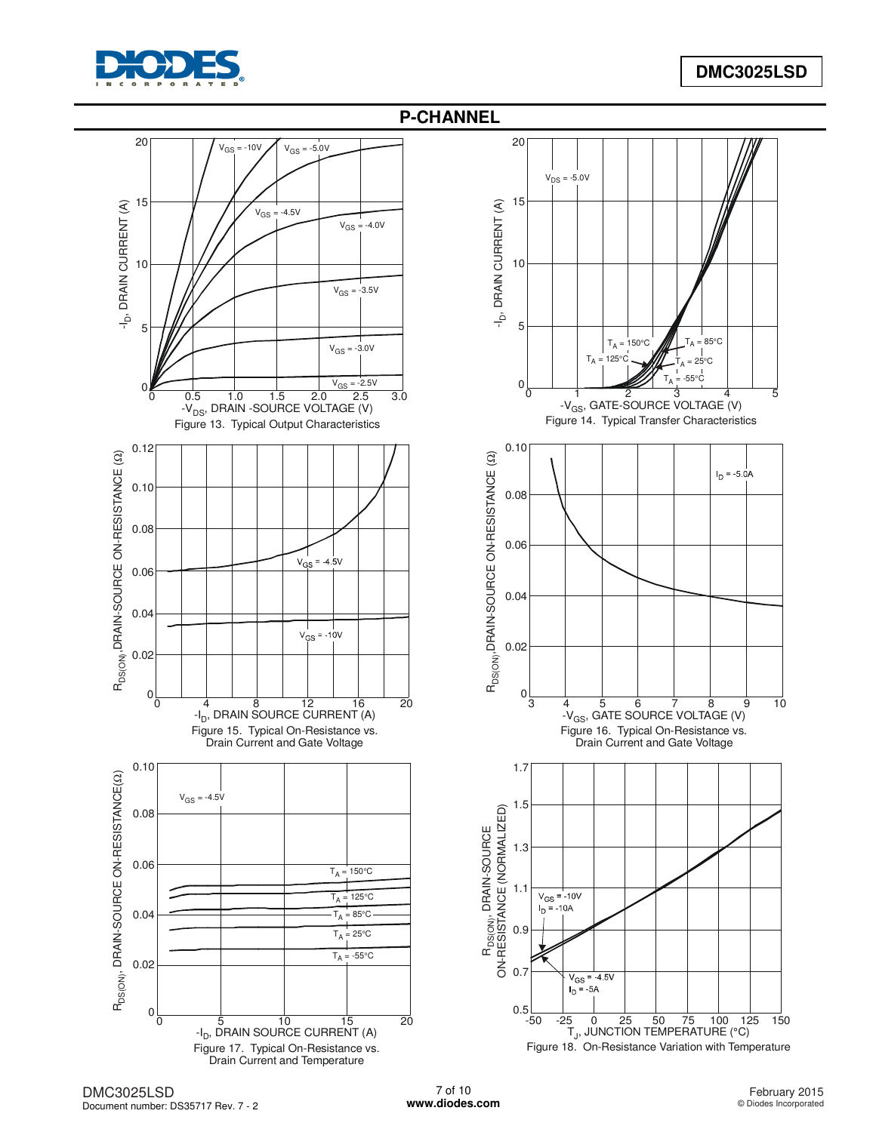





DMC3025LSD Document number: DS35717 Rev. 7 - 2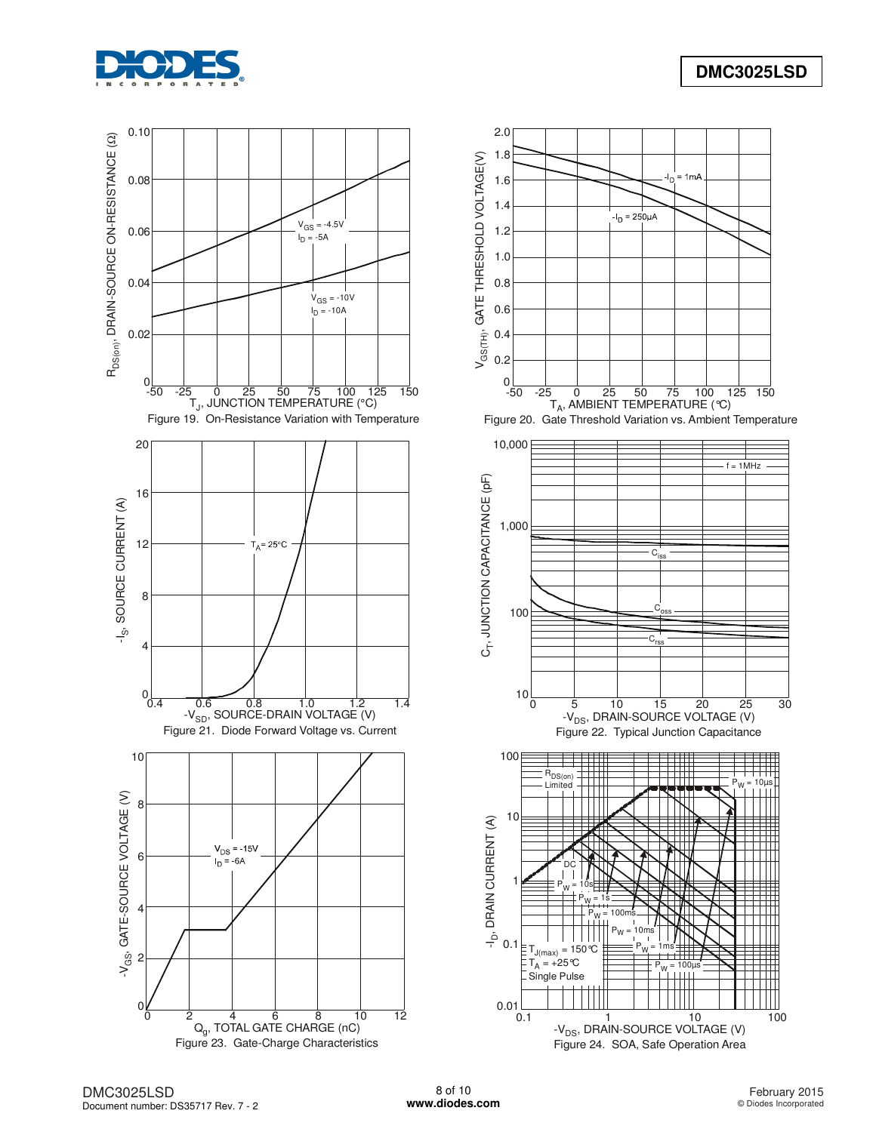





0.1 1 10 100 -V<sub>DS</sub>, DRAIN-SOURCE VOLTAGE (V) Figure 24. SOA, Safe Operation Area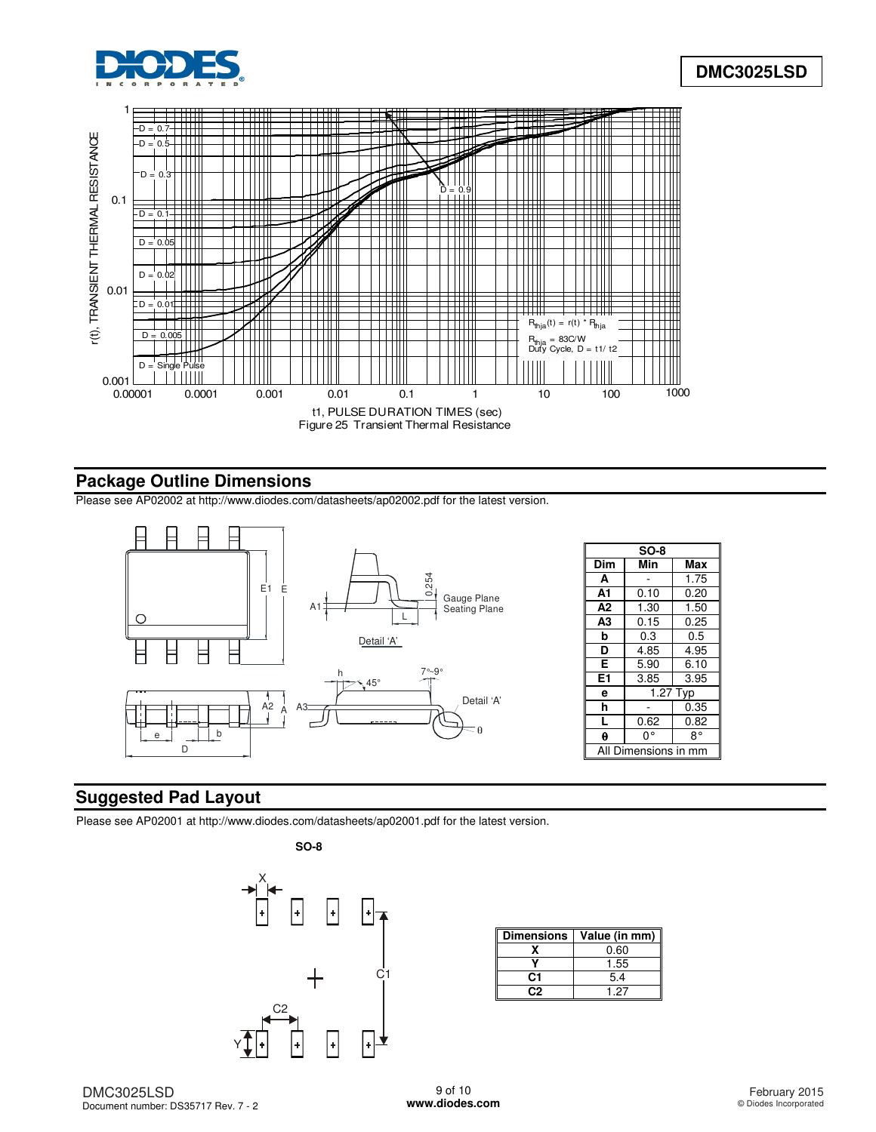



## **Package Outline Dimensions**

Please see AP02002 at [http://www.diodes.com/datasheets/ap02002.pdf fo](http://www.diodes.com/datasheets/ap02002.pdf)r the latest version.



# **Suggested Pad Layout**

Please see AP02001 at [http://www.diodes.com/datasheets/ap02001.pdf fo](http://www.diodes.com/datasheets/ap02001.pdf)r the latest version.



| <b>Dimensions</b> | Value (in mm) |
|-------------------|---------------|
|                   | 0.60          |
|                   | 1.55          |
| C1                | 5.4           |
| פר                | 1.27          |